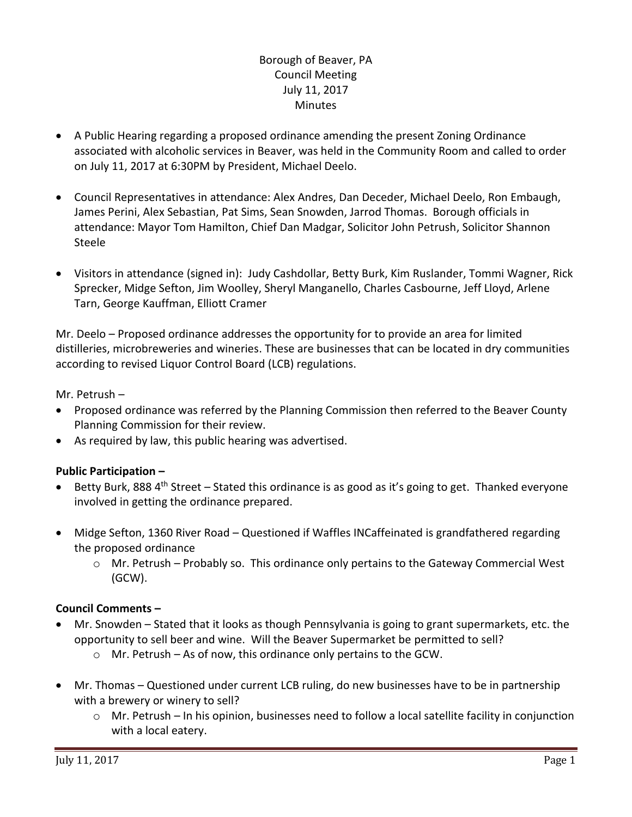# Borough of Beaver, PA Council Meeting July 11, 2017 Minutes

- A Public Hearing regarding a proposed ordinance amending the present Zoning Ordinance associated with alcoholic services in Beaver, was held in the Community Room and called to order on July 11, 2017 at 6:30PM by President, Michael Deelo.
- Council Representatives in attendance: Alex Andres, Dan Deceder, Michael Deelo, Ron Embaugh, James Perini, Alex Sebastian, Pat Sims, Sean Snowden, Jarrod Thomas. Borough officials in attendance: Mayor Tom Hamilton, Chief Dan Madgar, Solicitor John Petrush, Solicitor Shannon Steele
- Visitors in attendance (signed in): Judy Cashdollar, Betty Burk, Kim Ruslander, Tommi Wagner, Rick Sprecker, Midge Sefton, Jim Woolley, Sheryl Manganello, Charles Casbourne, Jeff Lloyd, Arlene Tarn, George Kauffman, Elliott Cramer

Mr. Deelo – Proposed ordinance addresses the opportunity for to provide an area for limited distilleries, microbreweries and wineries. These are businesses that can be located in dry communities according to revised Liquor Control Board (LCB) regulations.

Mr. Petrush –

- Proposed ordinance was referred by the Planning Commission then referred to the Beaver County Planning Commission for their review.
- As required by law, this public hearing was advertised.

# **Public Participation –**

- Betty Burk, 888 4<sup>th</sup> Street Stated this ordinance is as good as it's going to get. Thanked everyone involved in getting the ordinance prepared.
- Midge Sefton, 1360 River Road Questioned if Waffles INCaffeinated is grandfathered regarding the proposed ordinance
	- $\circ$  Mr. Petrush Probably so. This ordinance only pertains to the Gateway Commercial West (GCW).

# **Council Comments –**

- Mr. Snowden Stated that it looks as though Pennsylvania is going to grant supermarkets, etc. the opportunity to sell beer and wine. Will the Beaver Supermarket be permitted to sell?
	- o Mr. Petrush As of now, this ordinance only pertains to the GCW.
- Mr. Thomas Questioned under current LCB ruling, do new businesses have to be in partnership with a brewery or winery to sell?
	- $\circ$  Mr. Petrush In his opinion, businesses need to follow a local satellite facility in conjunction with a local eatery.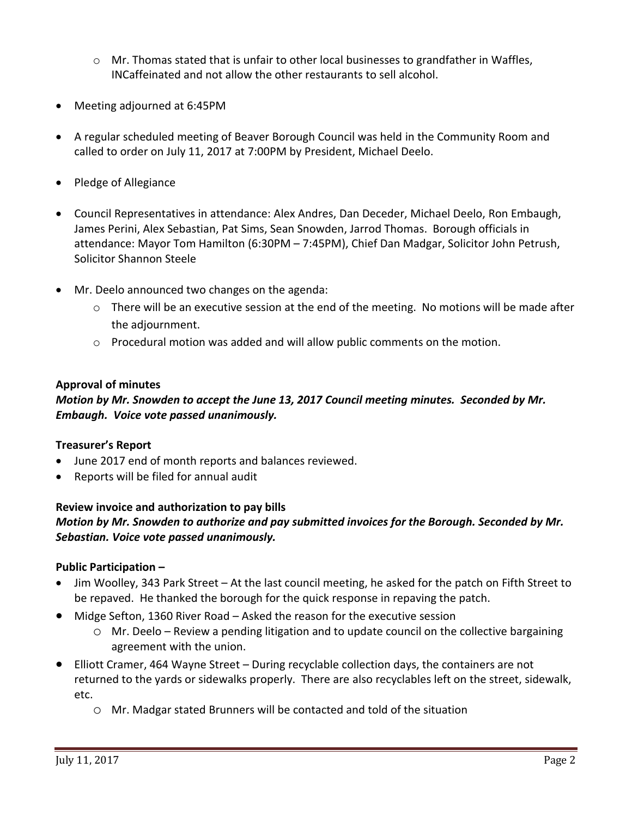- $\circ$  Mr. Thomas stated that is unfair to other local businesses to grandfather in Waffles, INCaffeinated and not allow the other restaurants to sell alcohol.
- Meeting adjourned at 6:45PM
- A regular scheduled meeting of Beaver Borough Council was held in the Community Room and called to order on July 11, 2017 at 7:00PM by President, Michael Deelo.
- Pledge of Allegiance
- Council Representatives in attendance: Alex Andres, Dan Deceder, Michael Deelo, Ron Embaugh, James Perini, Alex Sebastian, Pat Sims, Sean Snowden, Jarrod Thomas. Borough officials in attendance: Mayor Tom Hamilton (6:30PM – 7:45PM), Chief Dan Madgar, Solicitor John Petrush, Solicitor Shannon Steele
- Mr. Deelo announced two changes on the agenda:
	- $\circ$  There will be an executive session at the end of the meeting. No motions will be made after the adjournment.
	- $\circ$  Procedural motion was added and will allow public comments on the motion.

#### **Approval of minutes**

# *Motion by Mr. Snowden to accept the June 13, 2017 Council meeting minutes. Seconded by Mr. Embaugh. Voice vote passed unanimously.*

#### **Treasurer's Report**

- June 2017 end of month reports and balances reviewed.
- Reports will be filed for annual audit

## **Review invoice and authorization to pay bills** *Motion by Mr. Snowden to authorize and pay submitted invoices for the Borough. Seconded by Mr. Sebastian. Voice vote passed unanimously.*

#### **Public Participation –**

- Jim Woolley, 343 Park Street At the last council meeting, he asked for the patch on Fifth Street to be repaved. He thanked the borough for the quick response in repaving the patch.
- Midge Sefton, 1360 River Road Asked the reason for the executive session
	- $\circ$  Mr. Deelo Review a pending litigation and to update council on the collective bargaining agreement with the union.
- Elliott Cramer, 464 Wayne Street During recyclable collection days, the containers are not returned to the yards or sidewalks properly. There are also recyclables left on the street, sidewalk, etc.
	- o Mr. Madgar stated Brunners will be contacted and told of the situation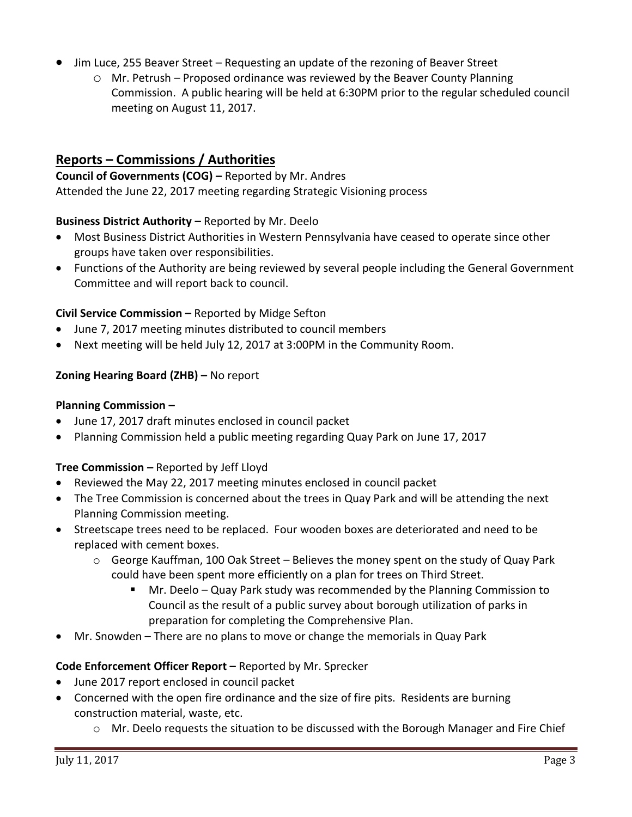- Jim Luce, 255 Beaver Street Requesting an update of the rezoning of Beaver Street
	- o Mr. Petrush Proposed ordinance was reviewed by the Beaver County Planning Commission. A public hearing will be held at 6:30PM prior to the regular scheduled council meeting on August 11, 2017.

# **Reports – Commissions / Authorities**

**Council of Governments (COG) –** Reported by Mr. Andres Attended the June 22, 2017 meeting regarding Strategic Visioning process

### **Business District Authority –** Reported by Mr. Deelo

- Most Business District Authorities in Western Pennsylvania have ceased to operate since other groups have taken over responsibilities.
- Functions of the Authority are being reviewed by several people including the General Government Committee and will report back to council.

### **Civil Service Commission –** Reported by Midge Sefton

- June 7, 2017 meeting minutes distributed to council members
- Next meeting will be held July 12, 2017 at 3:00PM in the Community Room.

### **Zoning Hearing Board (ZHB) –** No report

#### **Planning Commission –**

- June 17, 2017 draft minutes enclosed in council packet
- Planning Commission held a public meeting regarding Quay Park on June 17, 2017

#### **Tree Commission –** Reported by Jeff Lloyd

- Reviewed the May 22, 2017 meeting minutes enclosed in council packet
- The Tree Commission is concerned about the trees in Quay Park and will be attending the next Planning Commission meeting.
- Streetscape trees need to be replaced. Four wooden boxes are deteriorated and need to be replaced with cement boxes.
	- $\circ$  George Kauffman, 100 Oak Street Believes the money spent on the study of Quay Park could have been spent more efficiently on a plan for trees on Third Street.
		- Mr. Deelo Quay Park study was recommended by the Planning Commission to Council as the result of a public survey about borough utilization of parks in preparation for completing the Comprehensive Plan.
- Mr. Snowden There are no plans to move or change the memorials in Quay Park

#### **Code Enforcement Officer Report –** Reported by Mr. Sprecker

- June 2017 report enclosed in council packet
- Concerned with the open fire ordinance and the size of fire pits. Residents are burning construction material, waste, etc.
	- o Mr. Deelo requests the situation to be discussed with the Borough Manager and Fire Chief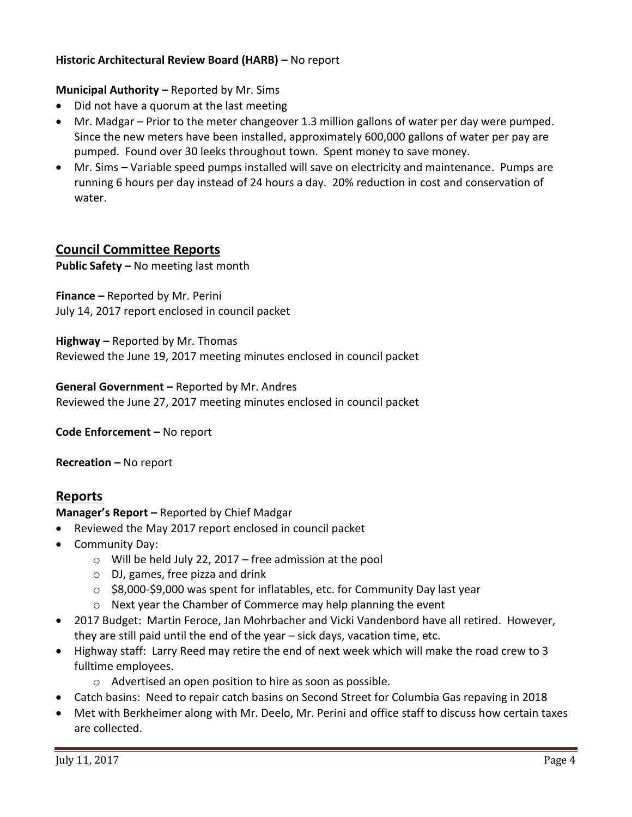## **Historic Architectural Review Board (HARB) –** No report

#### **Municipal Authority –** Reported by Mr. Sims

- Did not have a quorum at the last meeting
- Mr. Madgar Prior to the meter changeover 1.3 million gallons of water per day were pumped. Since the new meters have been installed, approximately 600,000 gallons of water per pay are pumped. Found over 30 leeks throughout town. Spent money to save money.
- Mr. Sims Variable speed pumps installed will save on electricity and maintenance. Pumps are running 6 hours per day instead of 24 hours a day. 20% reduction in cost and conservation of water.

# **Council Committee Reports**

**Public Safety –** No meeting last month

**Finance –** Reported by Mr. Perini July 14, 2017 report enclosed in council packet

**Highway –** Reported by Mr. Thomas Reviewed the June 19, 2017 meeting minutes enclosed in council packet

**General Government –** Reported by Mr. Andres Reviewed the June 27, 2017 meeting minutes enclosed in council packet

**Code Enforcement –** No report

**Recreation –** No report

# **Reports**

**Manager's Report –** Reported by Chief Madgar

- Reviewed the May 2017 report enclosed in council packet
- Community Day:
	- $\circ$  Will be held July 22, 2017 free admission at the pool
	- o DJ, games, free pizza and drink
	- o \$8,000-\$9,000 was spent for inflatables, etc. for Community Day last year
	- o Next year the Chamber of Commerce may help planning the event
- 2017 Budget: Martin Feroce, Jan Mohrbacher and Vicki Vandenbord have all retired. However, they are still paid until the end of the year – sick days, vacation time, etc.
- Highway staff: Larry Reed may retire the end of next week which will make the road crew to 3 fulltime employees.
	- o Advertised an open position to hire as soon as possible.
- Catch basins: Need to repair catch basins on Second Street for Columbia Gas repaving in 2018
- Met with Berkheimer along with Mr. Deelo, Mr. Perini and office staff to discuss how certain taxes are collected.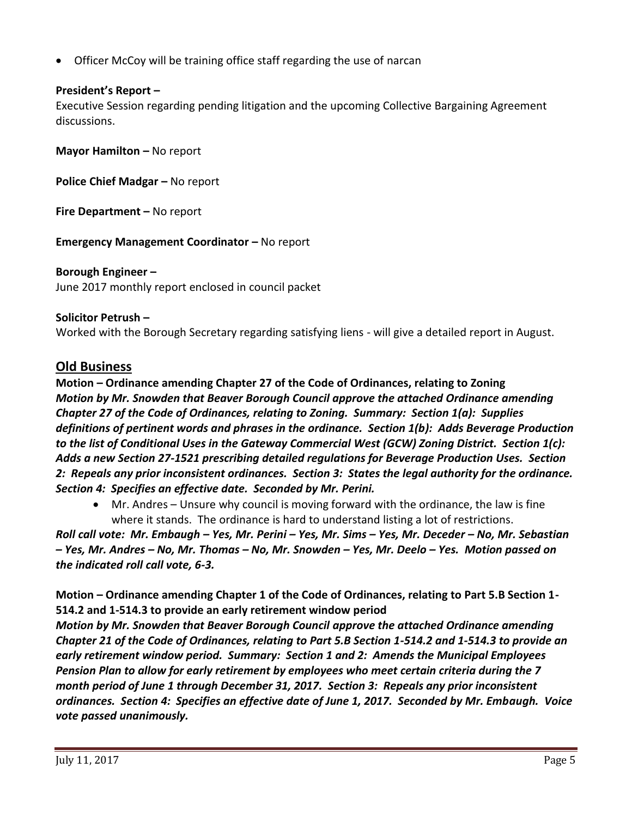Officer McCoy will be training office staff regarding the use of narcan

## **President's Report –**

Executive Session regarding pending litigation and the upcoming Collective Bargaining Agreement discussions.

**Mayor Hamilton – No report** 

**Police Chief Madgar – No report** 

**Fire Department –** No report

**Emergency Management Coordinator - No report** 

# **Borough Engineer –**

June 2017 monthly report enclosed in council packet

### **Solicitor Petrush –**

Worked with the Borough Secretary regarding satisfying liens - will give a detailed report in August.

# **Old Business**

**Motion – Ordinance amending Chapter 27 of the Code of Ordinances, relating to Zoning** *Motion by Mr. Snowden that Beaver Borough Council approve the attached Ordinance amending Chapter 27 of the Code of Ordinances, relating to Zoning. Summary: Section 1(a): Supplies definitions of pertinent words and phrases in the ordinance. Section 1(b): Adds Beverage Production to the list of Conditional Uses in the Gateway Commercial West (GCW) Zoning District. Section 1(c): Adds a new Section 27-1521 prescribing detailed regulations for Beverage Production Uses. Section 2: Repeals any prior inconsistent ordinances. Section 3: States the legal authority for the ordinance. Section 4: Specifies an effective date. Seconded by Mr. Perini.* 

 Mr. Andres – Unsure why council is moving forward with the ordinance, the law is fine where it stands. The ordinance is hard to understand listing a lot of restrictions.

*Roll call vote: Mr. Embaugh – Yes, Mr. Perini – Yes, Mr. Sims – Yes, Mr. Deceder – No, Mr. Sebastian – Yes, Mr. Andres – No, Mr. Thomas – No, Mr. Snowden – Yes, Mr. Deelo – Yes. Motion passed on the indicated roll call vote, 6-3.*

**Motion – Ordinance amending Chapter 1 of the Code of Ordinances, relating to Part 5.B Section 1- 514.2 and 1-514.3 to provide an early retirement window period**

*Motion by Mr. Snowden that Beaver Borough Council approve the attached Ordinance amending Chapter 21 of the Code of Ordinances, relating to Part 5.B Section 1-514.2 and 1-514.3 to provide an early retirement window period. Summary: Section 1 and 2: Amends the Municipal Employees Pension Plan to allow for early retirement by employees who meet certain criteria during the 7 month period of June 1 through December 31, 2017. Section 3: Repeals any prior inconsistent ordinances. Section 4: Specifies an effective date of June 1, 2017. Seconded by Mr. Embaugh. Voice vote passed unanimously.*